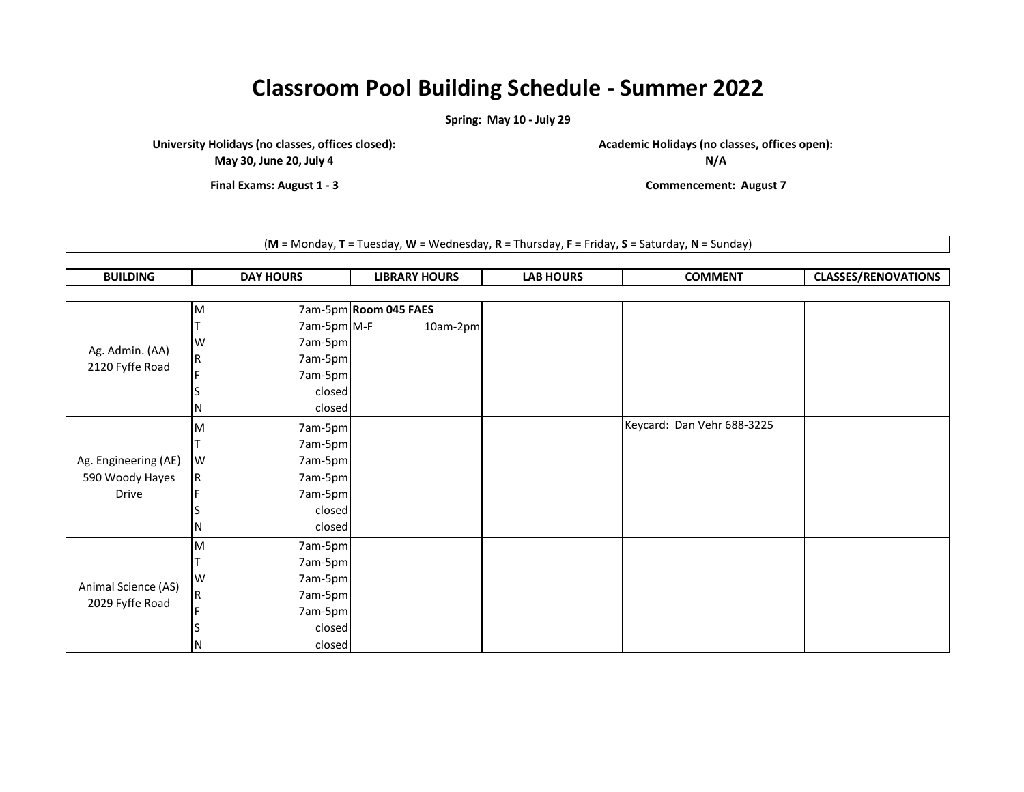## **Classroom Pool Building Schedule - Summer 2022**

**Spring: May 10 - July 29**

**University Holidays (no classes, offices closed):**

**May 30, June 20, July 4**

**Academic Holidays (no classes, offices open):**

**N/A**

**Final Exams: August 1 - 3 Commencement: August 7**

(**M** = Monday, **T** = Tuesday, **W** = Wednesday, **R** = Thursday, **F** = Friday, **S** = Saturday, **N** = Sunday)

| <b>BUILDING</b> | <b>DAY HOURS</b> | <b>LIBRARY HOURS</b> | <b>LAB HOURS</b> | <b>COMMENT</b> | <b>ASSES/RENOVATIONS</b><br>------ |
|-----------------|------------------|----------------------|------------------|----------------|------------------------------------|
|-----------------|------------------|----------------------|------------------|----------------|------------------------------------|

|                                    | M                       | 7am-5pm Room 045 FAES |          |                            |  |
|------------------------------------|-------------------------|-----------------------|----------|----------------------------|--|
|                                    |                         | 7am-5pm M-F           | 10am-2pm |                            |  |
|                                    | W                       | 7am-5pm               |          |                            |  |
| Ag. Admin. (AA)<br>2120 Fyffe Road | $\overline{\mathsf{R}}$ | 7am-5pm               |          |                            |  |
|                                    |                         | 7am-5pm               |          |                            |  |
|                                    |                         | closed                |          |                            |  |
|                                    | N                       | closed                |          |                            |  |
|                                    | M                       | 7am-5pm               |          | Keycard: Dan Vehr 688-3225 |  |
|                                    |                         | 7am-5pm               |          |                            |  |
| Ag. Engineering (AE)               | W                       | 7am-5pm               |          |                            |  |
| 590 Woody Hayes                    | IR.                     | 7am-5pm               |          |                            |  |
| <b>Drive</b>                       |                         | 7am-5pm               |          |                            |  |
|                                    |                         | closed                |          |                            |  |
|                                    | N                       | closed                |          |                            |  |
|                                    | M                       | 7am-5pm               |          |                            |  |
|                                    |                         | 7am-5pm               |          |                            |  |
| Animal Science (AS)                | W                       | 7am-5pm               |          |                            |  |
| 2029 Fyffe Road                    |                         | 7am-5pm               |          |                            |  |
|                                    |                         | 7am-5pm               |          |                            |  |
|                                    |                         | closed                |          |                            |  |
|                                    | N                       | closed                |          |                            |  |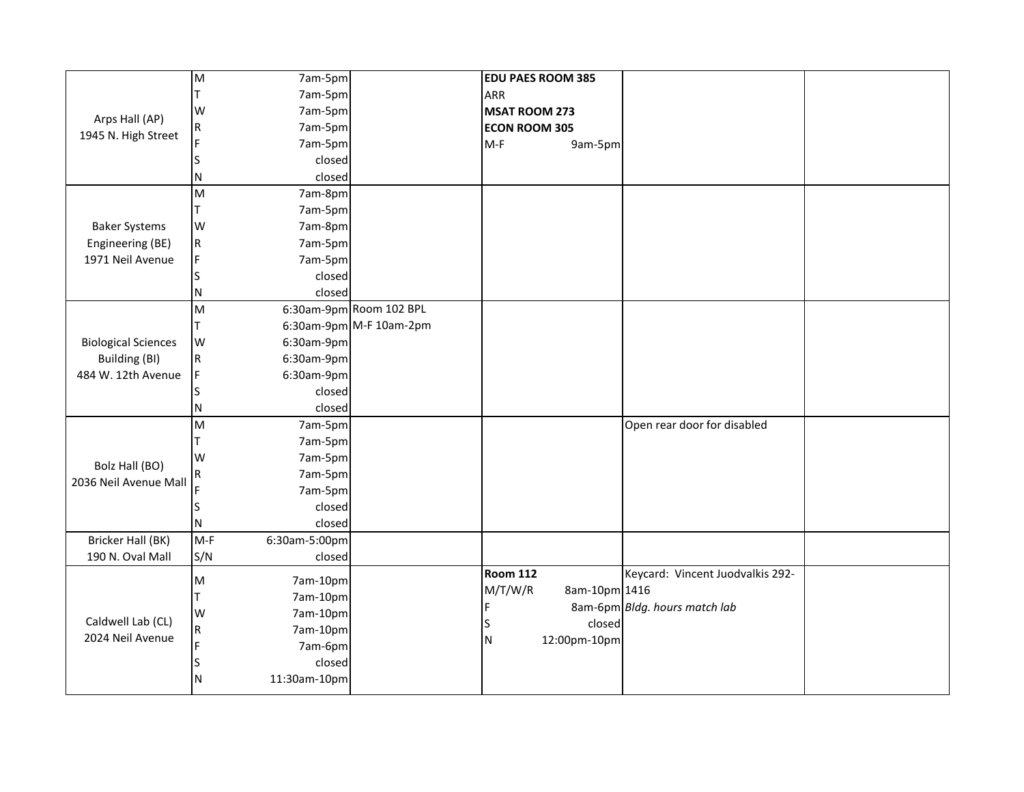|                            | M           | 7am-5pm       |                         | <b>EDU PAES ROOM 385</b>     |                                  |  |
|----------------------------|-------------|---------------|-------------------------|------------------------------|----------------------------------|--|
|                            | т           | 7am-5pm       |                         | <b>ARR</b>                   |                                  |  |
| Arps Hall (AP)             | W           | 7am-5pm       |                         | <b>MSAT ROOM 273</b>         |                                  |  |
| 1945 N. High Street        | $\mathsf R$ | 7am-5pm       |                         | <b>ECON ROOM 305</b>         |                                  |  |
|                            |             | 7am-5pm       |                         | $M-F$<br>9am-5pm             |                                  |  |
|                            |             | closed        |                         |                              |                                  |  |
|                            | Ν           | closed        |                         |                              |                                  |  |
|                            | M           | 7am-8pm       |                         |                              |                                  |  |
|                            | т           | 7am-5pm       |                         |                              |                                  |  |
| <b>Baker Systems</b>       | W           | 7am-8pm       |                         |                              |                                  |  |
| Engineering (BE)           | $\mathsf R$ | 7am-5pm       |                         |                              |                                  |  |
| 1971 Neil Avenue           | F           | 7am-5pm       |                         |                              |                                  |  |
|                            |             | closed        |                         |                              |                                  |  |
|                            | N           | closed        |                         |                              |                                  |  |
|                            | M           |               | 6:30am-9pm Room 102 BPL |                              |                                  |  |
|                            | T           |               | 6:30am-9pm M-F 10am-2pm |                              |                                  |  |
| <b>Biological Sciences</b> | W           | $6:30$ am-9pm |                         |                              |                                  |  |
| Building (BI)              | ${\sf R}$   | $6:30$ am-9pm |                         |                              |                                  |  |
| 484 W. 12th Avenue         | F           | $6:30$ am-9pm |                         |                              |                                  |  |
|                            |             | closed        |                         |                              |                                  |  |
|                            | N           | closed        |                         |                              |                                  |  |
|                            | M           | 7am-5pm       |                         |                              | Open rear door for disabled      |  |
|                            | т           | 7am-5pm       |                         |                              |                                  |  |
| Bolz Hall (BO)             | W           | 7am-5pm       |                         |                              |                                  |  |
| 2036 Neil Avenue Mall      | ${\sf R}$   | 7am-5pm       |                         |                              |                                  |  |
|                            |             | 7am-5pm       |                         |                              |                                  |  |
|                            | ς           | closed        |                         |                              |                                  |  |
|                            | N           | closed        |                         |                              |                                  |  |
| Bricker Hall (BK)          | $M-F$       | 6:30am-5:00pm |                         |                              |                                  |  |
| 190 N. Oval Mall           | S/N         | closed        |                         |                              |                                  |  |
|                            | M           | 7am-10pm      |                         | <b>Room 112</b>              | Keycard: Vincent Juodvalkis 292- |  |
|                            | т           | 7am-10pm      |                         | M/T/W/R<br>8am-10pm 1416     |                                  |  |
|                            | W           | 7am-10pm      |                         | F                            | 8am-6pm Bldg. hours match lab    |  |
| Caldwell Lab (CL)          | $\mathsf R$ | 7am-10pm      |                         | closed<br>lS                 |                                  |  |
| 2024 Neil Avenue           |             | 7am-6pm       |                         | 12:00pm-10pm<br>$\mathsf{N}$ |                                  |  |
|                            |             | closed        |                         |                              |                                  |  |
|                            | N           | 11:30am-10pm  |                         |                              |                                  |  |
|                            |             |               |                         |                              |                                  |  |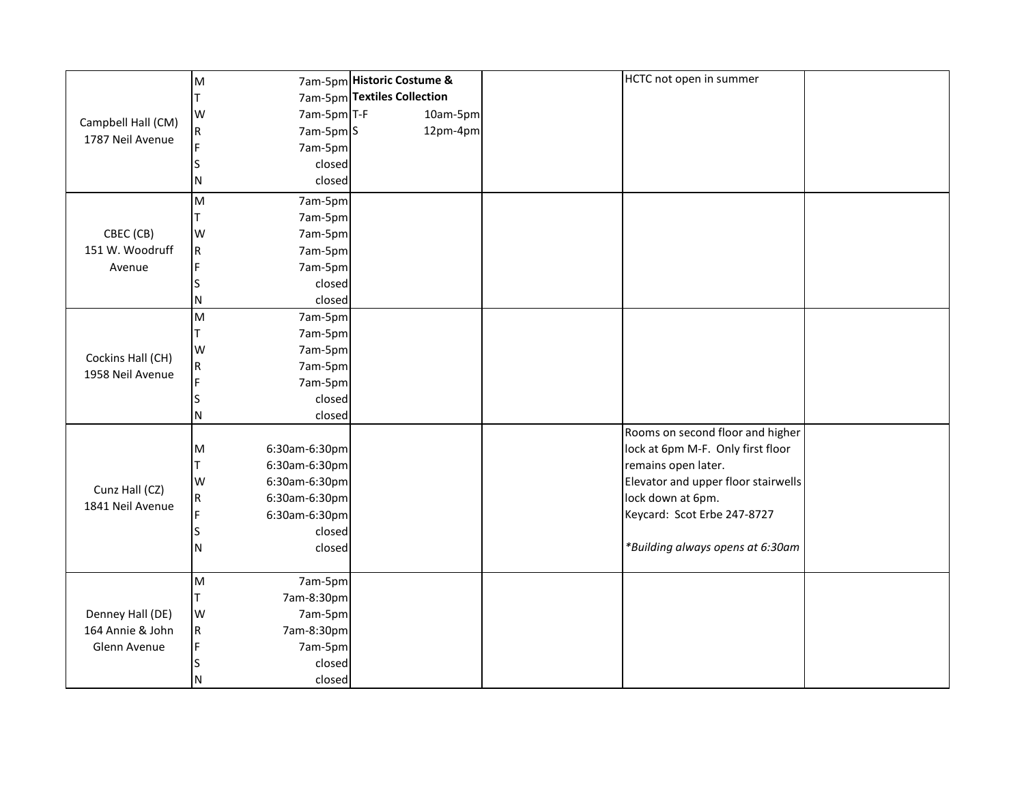|                    | M           |                       | 7am-5pm Historic Costume &  | HCTC not open in summer             |  |
|--------------------|-------------|-----------------------|-----------------------------|-------------------------------------|--|
|                    |             |                       | 7am-5pm Textiles Collection |                                     |  |
|                    | W           | 7am-5pm T-F           | 10am-5pm                    |                                     |  |
| Campbell Hall (CM) | $\mathsf R$ | 7am-5pm S             | 12pm-4pm                    |                                     |  |
| 1787 Neil Avenue   |             | 7am-5pm               |                             |                                     |  |
|                    |             | closed                |                             |                                     |  |
|                    | N           | closed                |                             |                                     |  |
|                    | M           | 7am-5pm               |                             |                                     |  |
|                    |             | 7am-5pm               |                             |                                     |  |
| CBEC (CB)          | W           | 7am-5pm               |                             |                                     |  |
| 151 W. Woodruff    | R           | 7am-5pm               |                             |                                     |  |
| Avenue             |             | 7am-5pm               |                             |                                     |  |
|                    |             | closed                |                             |                                     |  |
|                    | N           | closed                |                             |                                     |  |
|                    | M           | 7am-5pm               |                             |                                     |  |
|                    |             | 7am-5pm               |                             |                                     |  |
| Cockins Hall (CH)  | W           | 7am-5pm               |                             |                                     |  |
| 1958 Neil Avenue   | ${\sf R}$   | 7am-5pm               |                             |                                     |  |
|                    |             | 7am-5pm               |                             |                                     |  |
|                    |             | closed                |                             |                                     |  |
|                    | N           | closed                |                             |                                     |  |
|                    |             |                       |                             | Rooms on second floor and higher    |  |
|                    | M           | 6:30am-6:30pm         |                             | lock at 6pm M-F. Only first floor   |  |
|                    |             | 6:30am-6:30pm         |                             | remains open later.                 |  |
| Cunz Hall (CZ)     | W           | 6:30am-6:30pm         |                             | Elevator and upper floor stairwells |  |
| 1841 Neil Avenue   | $\mathsf R$ | 6:30am-6:30pm         |                             | lock down at 6pm.                   |  |
|                    |             | 6:30am-6:30pm         |                             | Keycard: Scot Erbe 247-8727         |  |
|                    | lS          | closed                |                             |                                     |  |
|                    | N           | closed                |                             | *Building always opens at 6:30am    |  |
|                    | M           |                       |                             |                                     |  |
|                    | т           | 7am-5pm               |                             |                                     |  |
| Denney Hall (DE)   | W           | 7am-8:30pm<br>7am-5pm |                             |                                     |  |
| 164 Annie & John   | R           | 7am-8:30pm            |                             |                                     |  |
| Glenn Avenue       |             | 7am-5pm               |                             |                                     |  |
|                    |             | closed                |                             |                                     |  |
|                    |             |                       |                             |                                     |  |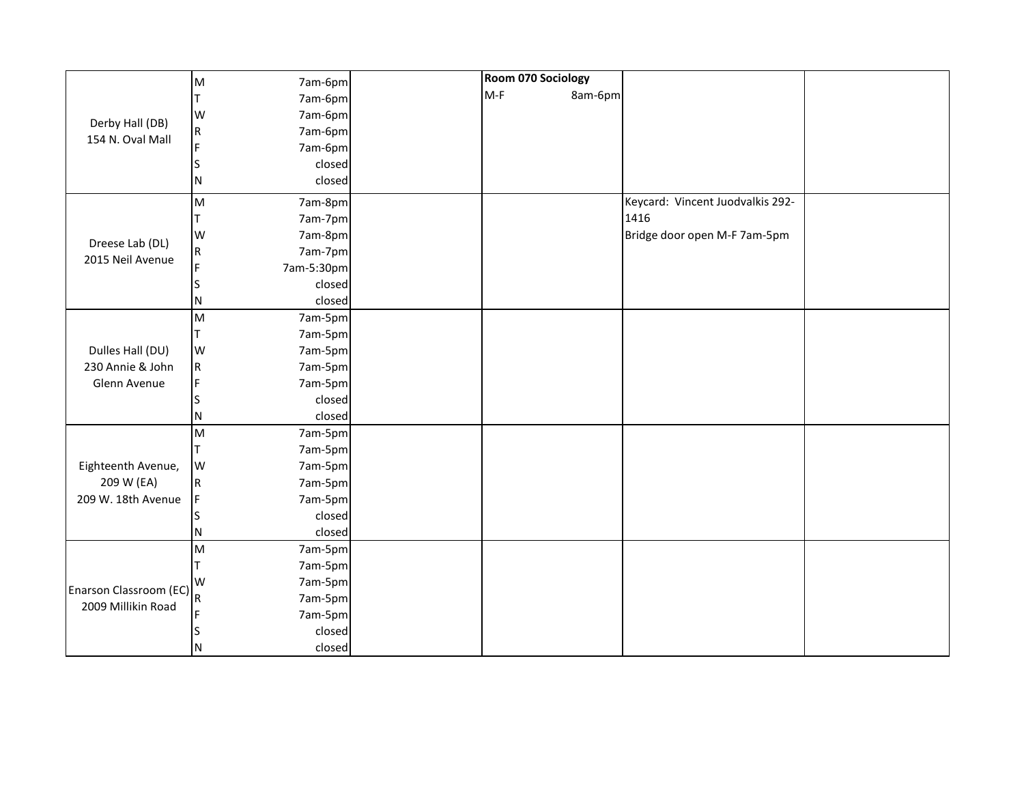|                        | M           | 7am-6pm    | Room 070 Sociology |         |                                  |  |
|------------------------|-------------|------------|--------------------|---------|----------------------------------|--|
|                        |             | 7am-6pm    | $M-F$              | 8am-6pm |                                  |  |
|                        | W           | 7am-6pm    |                    |         |                                  |  |
| Derby Hall (DB)        | ${\sf R}$   | 7am-6pm    |                    |         |                                  |  |
| 154 N. Oval Mall       | F           | 7am-6pm    |                    |         |                                  |  |
|                        | S           | closed     |                    |         |                                  |  |
|                        | N           | closed     |                    |         |                                  |  |
|                        | M           | 7am-8pm    |                    |         | Keycard: Vincent Juodvalkis 292- |  |
|                        | т           | 7am-7pm    |                    |         | 1416                             |  |
|                        | W           | 7am-8pm    |                    |         | Bridge door open M-F 7am-5pm     |  |
| Dreese Lab (DL)        | ${\sf R}$   | 7am-7pm    |                    |         |                                  |  |
| 2015 Neil Avenue       | F           | 7am-5:30pm |                    |         |                                  |  |
|                        |             | closed     |                    |         |                                  |  |
|                        | N           | closed     |                    |         |                                  |  |
|                        | M           | 7am-5pm    |                    |         |                                  |  |
|                        | т           | 7am-5pm    |                    |         |                                  |  |
| Dulles Hall (DU)       | W           | 7am-5pm    |                    |         |                                  |  |
| 230 Annie & John       | R           | 7am-5pm    |                    |         |                                  |  |
| Glenn Avenue           | F           | 7am-5pm    |                    |         |                                  |  |
|                        |             | closed     |                    |         |                                  |  |
|                        | N           | closed     |                    |         |                                  |  |
|                        | M           | 7am-5pm    |                    |         |                                  |  |
|                        | т           | 7am-5pm    |                    |         |                                  |  |
| Eighteenth Avenue,     | W           | 7am-5pm    |                    |         |                                  |  |
| 209 W (EA)             | $\mathsf R$ | 7am-5pm    |                    |         |                                  |  |
| 209 W. 18th Avenue     | F           | 7am-5pm    |                    |         |                                  |  |
|                        |             | closed     |                    |         |                                  |  |
|                        | N           | closed     |                    |         |                                  |  |
|                        | M           | 7am-5pm    |                    |         |                                  |  |
|                        |             | 7am-5pm    |                    |         |                                  |  |
| Enarson Classroom (EC) | W           | 7am-5pm    |                    |         |                                  |  |
| 2009 Millikin Road     |             | 7am-5pm    |                    |         |                                  |  |
|                        | F           | 7am-5pm    |                    |         |                                  |  |
|                        |             | closed     |                    |         |                                  |  |
|                        | N           | closed     |                    |         |                                  |  |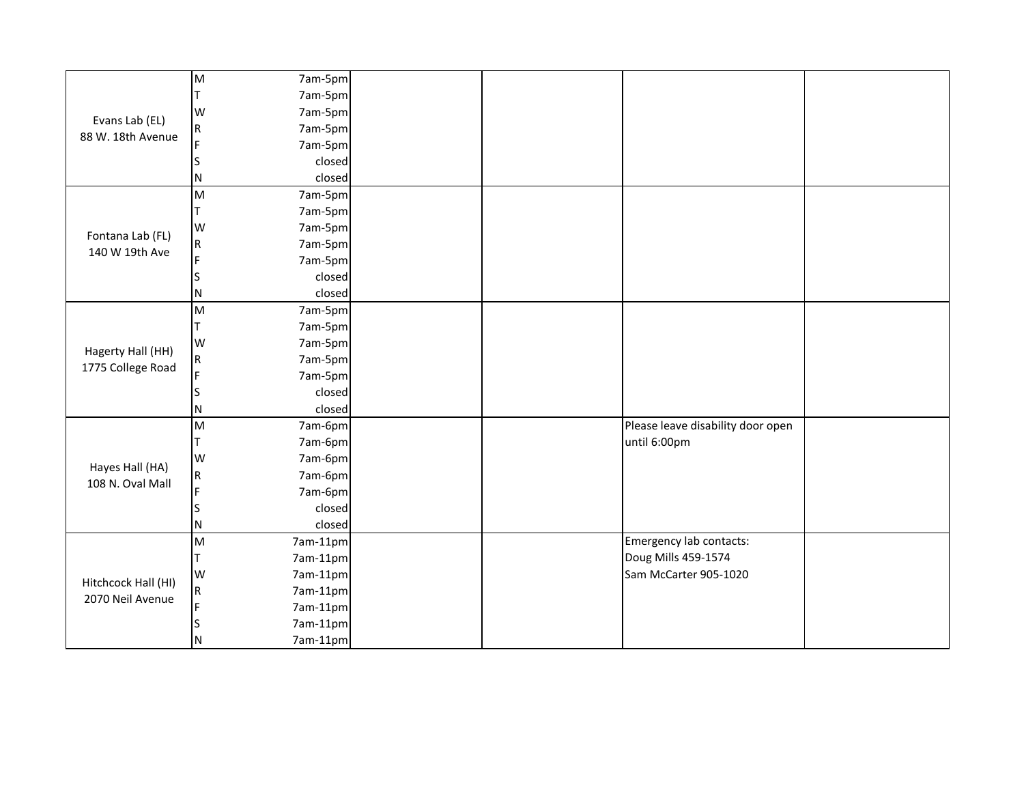|                     | M                                                                                     | 7am-5pm  |                                   |  |
|---------------------|---------------------------------------------------------------------------------------|----------|-----------------------------------|--|
|                     | т                                                                                     | 7am-5pm  |                                   |  |
| Evans Lab (EL)      | W                                                                                     | 7am-5pm  |                                   |  |
| 88 W. 18th Avenue   | ${\sf R}$                                                                             | 7am-5pm  |                                   |  |
|                     | Ē                                                                                     | 7am-5pm  |                                   |  |
|                     |                                                                                       | closed   |                                   |  |
|                     | Ν                                                                                     | closed   |                                   |  |
|                     | M                                                                                     | 7am-5pm  |                                   |  |
|                     | T                                                                                     | 7am-5pm  |                                   |  |
| Fontana Lab (FL)    | W                                                                                     | 7am-5pm  |                                   |  |
| 140 W 19th Ave      | ${\sf R}$                                                                             | 7am-5pm  |                                   |  |
|                     | E                                                                                     | 7am-5pm  |                                   |  |
|                     |                                                                                       | closed   |                                   |  |
|                     | Ν                                                                                     | closed   |                                   |  |
|                     | $\mathsf{M}% _{T}=\mathsf{M}_{T}\!\left( a,b\right) ,\ \mathsf{M}_{T}=\mathsf{M}_{T}$ | 7am-5pm  |                                   |  |
|                     | T                                                                                     | 7am-5pm  |                                   |  |
| Hagerty Hall (HH)   | W                                                                                     | 7am-5pm  |                                   |  |
| 1775 College Road   | ${\sf R}$                                                                             | 7am-5pm  |                                   |  |
|                     | F                                                                                     | 7am-5pm  |                                   |  |
|                     |                                                                                       | closed   |                                   |  |
|                     | N                                                                                     | closed   |                                   |  |
|                     | M                                                                                     | 7am-6pm  | Please leave disability door open |  |
|                     |                                                                                       | 7am-6pm  | until 6:00pm                      |  |
| Hayes Hall (HA)     | W                                                                                     | 7am-6pm  |                                   |  |
| 108 N. Oval Mall    | ${\sf R}$                                                                             | 7am-6pm  |                                   |  |
|                     | F                                                                                     | 7am-6pm  |                                   |  |
|                     |                                                                                       | closed   |                                   |  |
|                     | Ν                                                                                     | closed   |                                   |  |
|                     | M                                                                                     | 7am-11pm | Emergency lab contacts:           |  |
|                     | т                                                                                     | 7am-11pm | Doug Mills 459-1574               |  |
|                     | W                                                                                     | 7am-11pm | Sam McCarter 905-1020             |  |
| Hitchcock Hall (HI) | ${\sf R}$                                                                             | 7am-11pm |                                   |  |
| 2070 Neil Avenue    | F                                                                                     | 7am-11pm |                                   |  |
|                     |                                                                                       | 7am-11pm |                                   |  |
|                     | N                                                                                     | 7am-11pm |                                   |  |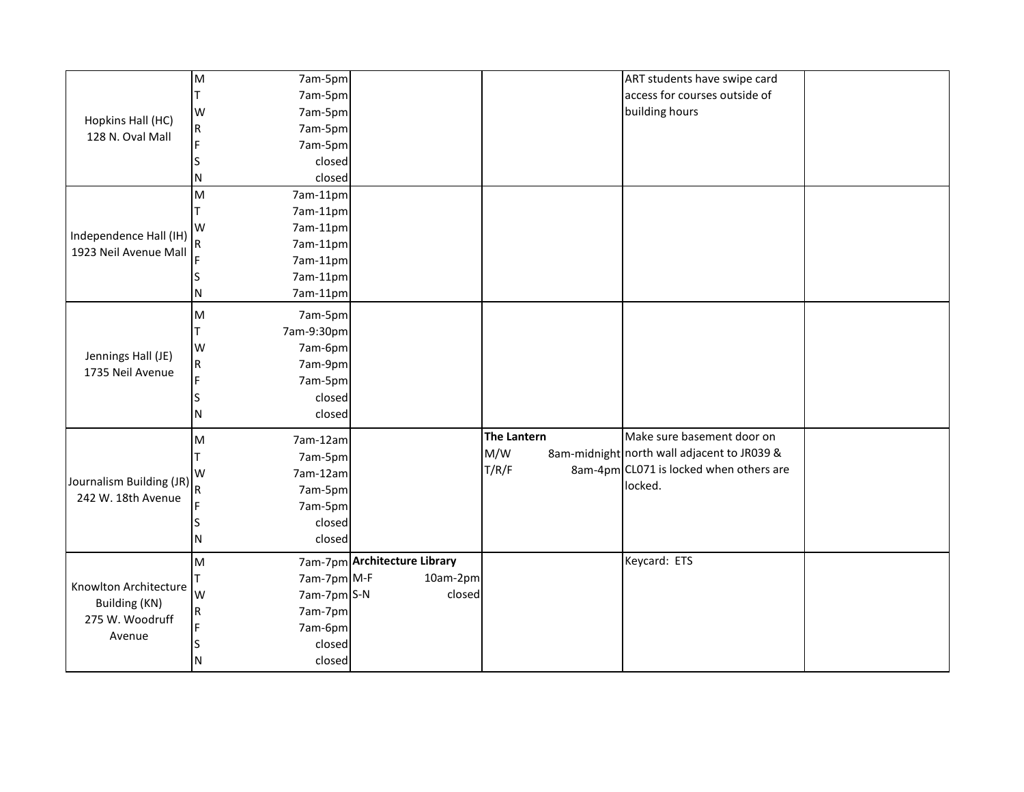|                                  | M           | 7am-5pm     |                              |                    | ART students have swipe card                |  |
|----------------------------------|-------------|-------------|------------------------------|--------------------|---------------------------------------------|--|
|                                  | т           | 7am-5pm     |                              |                    | access for courses outside of               |  |
| Hopkins Hall (HC)                | W           | 7am-5pm     |                              |                    | building hours                              |  |
| 128 N. Oval Mall                 | $\mathsf R$ | 7am-5pm     |                              |                    |                                             |  |
|                                  |             | 7am-5pm     |                              |                    |                                             |  |
|                                  |             | closed      |                              |                    |                                             |  |
|                                  | N           | closed      |                              |                    |                                             |  |
|                                  | M           | 7am-11pm    |                              |                    |                                             |  |
|                                  |             | 7am-11pm    |                              |                    |                                             |  |
| Independence Hall (IH)           | W           | 7am-11pm    |                              |                    |                                             |  |
| 1923 Neil Avenue Mall            |             | 7am-11pm    |                              |                    |                                             |  |
|                                  |             | 7am-11pm    |                              |                    |                                             |  |
|                                  |             | 7am-11pm    |                              |                    |                                             |  |
|                                  | N           | 7am-11pm    |                              |                    |                                             |  |
|                                  | M           | 7am-5pm     |                              |                    |                                             |  |
|                                  |             | 7am-9:30pm  |                              |                    |                                             |  |
|                                  | W           | 7am-6pm     |                              |                    |                                             |  |
| Jennings Hall (JE)               | $\mathsf R$ | 7am-9pm     |                              |                    |                                             |  |
| 1735 Neil Avenue                 |             | 7am-5pm     |                              |                    |                                             |  |
|                                  |             | closed      |                              |                    |                                             |  |
|                                  | N           | closed      |                              |                    |                                             |  |
|                                  | M           | 7am-12am    |                              | <b>The Lantern</b> | Make sure basement door on                  |  |
|                                  |             | 7am-5pm     |                              | M/W                | 8am-midnight north wall adjacent to JR039 & |  |
|                                  | W           | 7am-12am    |                              | T/R/F              | 8am-4pm CL071 is locked when others are     |  |
| Journalism Building (JR)         |             | 7am-5pm     |                              |                    | locked.                                     |  |
| 242 W. 18th Avenue               |             | 7am-5pm     |                              |                    |                                             |  |
|                                  |             | closed      |                              |                    |                                             |  |
|                                  | N           | closed      |                              |                    |                                             |  |
|                                  | M           |             | 7am-7pm Architecture Library |                    | Keycard: ETS                                |  |
| Knowlton Architecture            |             | 7am-7pm M-F | 10am-2pm                     |                    |                                             |  |
|                                  | W           | 7am-7pm S-N | closed                       |                    |                                             |  |
| Building (KN)<br>275 W. Woodruff | $\mathsf R$ | 7am-7pm     |                              |                    |                                             |  |
|                                  |             | 7am-6pm     |                              |                    |                                             |  |
| Avenue                           |             | closed      |                              |                    |                                             |  |
|                                  | N           | closed      |                              |                    |                                             |  |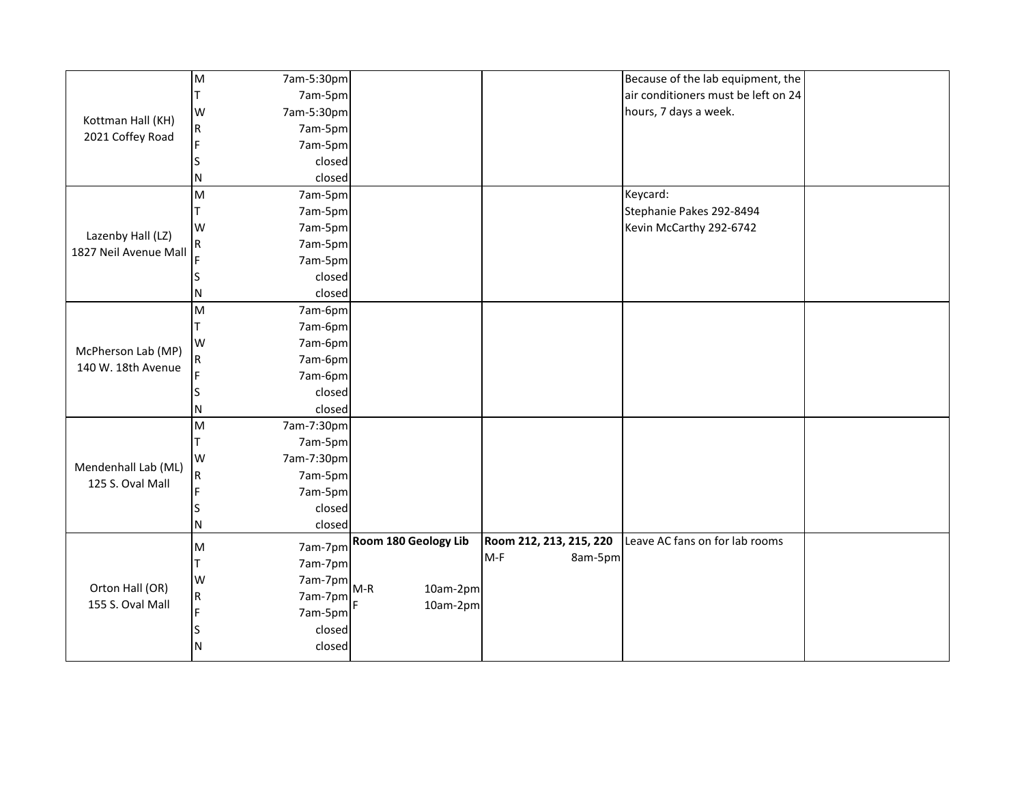|                                     | M           | 7am-5:30pm |       |                      |                         |         | Because of the lab equipment, the   |  |
|-------------------------------------|-------------|------------|-------|----------------------|-------------------------|---------|-------------------------------------|--|
|                                     |             | 7am-5pm    |       |                      |                         |         | air conditioners must be left on 24 |  |
|                                     | W           | 7am-5:30pm |       |                      |                         |         | hours, 7 days a week.               |  |
| Kottman Hall (KH)                   | R           | 7am-5pm    |       |                      |                         |         |                                     |  |
| 2021 Coffey Road                    |             | 7am-5pm    |       |                      |                         |         |                                     |  |
|                                     |             | closed     |       |                      |                         |         |                                     |  |
|                                     | N           | closed     |       |                      |                         |         |                                     |  |
|                                     | M           | 7am-5pm    |       |                      |                         |         | Keycard:                            |  |
|                                     |             | 7am-5pm    |       |                      |                         |         | Stephanie Pakes 292-8494            |  |
| Lazenby Hall (LZ)                   | W           | 7am-5pm    |       |                      |                         |         | Kevin McCarthy 292-6742             |  |
| 1827 Neil Avenue Mall               | R           | 7am-5pm    |       |                      |                         |         |                                     |  |
|                                     |             | 7am-5pm    |       |                      |                         |         |                                     |  |
|                                     |             | closed     |       |                      |                         |         |                                     |  |
|                                     | N           | closed     |       |                      |                         |         |                                     |  |
|                                     | M           | 7am-6pm    |       |                      |                         |         |                                     |  |
|                                     |             | 7am-6pm    |       |                      |                         |         |                                     |  |
| McPherson Lab (MP)                  | W           | 7am-6pm    |       |                      |                         |         |                                     |  |
| 140 W. 18th Avenue                  | R           | 7am-6pm    |       |                      |                         |         |                                     |  |
|                                     |             | 7am-6pm    |       |                      |                         |         |                                     |  |
|                                     |             | closed     |       |                      |                         |         |                                     |  |
|                                     | N           | closed     |       |                      |                         |         |                                     |  |
|                                     | M           | 7am-7:30pm |       |                      |                         |         |                                     |  |
|                                     |             | 7am-5pm    |       |                      |                         |         |                                     |  |
| Mendenhall Lab (ML)                 | W           | 7am-7:30pm |       |                      |                         |         |                                     |  |
| 125 S. Oval Mall                    | $\mathsf R$ | 7am-5pm    |       |                      |                         |         |                                     |  |
|                                     |             | 7am-5pm    |       |                      |                         |         |                                     |  |
|                                     |             | closed     |       |                      |                         |         |                                     |  |
|                                     | N           | closed     |       |                      |                         |         |                                     |  |
|                                     | M           | 7am-7pm    |       | Room 180 Geology Lib | Room 212, 213, 215, 220 |         | Leave AC fans on for lab rooms      |  |
| Orton Hall (OR)<br>155 S. Oval Mall |             | 7am-7pm    |       |                      | $M-F$                   | 8am-5pm |                                     |  |
|                                     | W           | 7am-7pm    |       |                      |                         |         |                                     |  |
|                                     | $\mathsf R$ | 7am-7pm    | $M-R$ | 10am-2pm             |                         |         |                                     |  |
|                                     |             | 7am-5pm    |       | 10am-2pm             |                         |         |                                     |  |
|                                     |             | closed     |       |                      |                         |         |                                     |  |
|                                     | N           | closed     |       |                      |                         |         |                                     |  |
|                                     |             |            |       |                      |                         |         |                                     |  |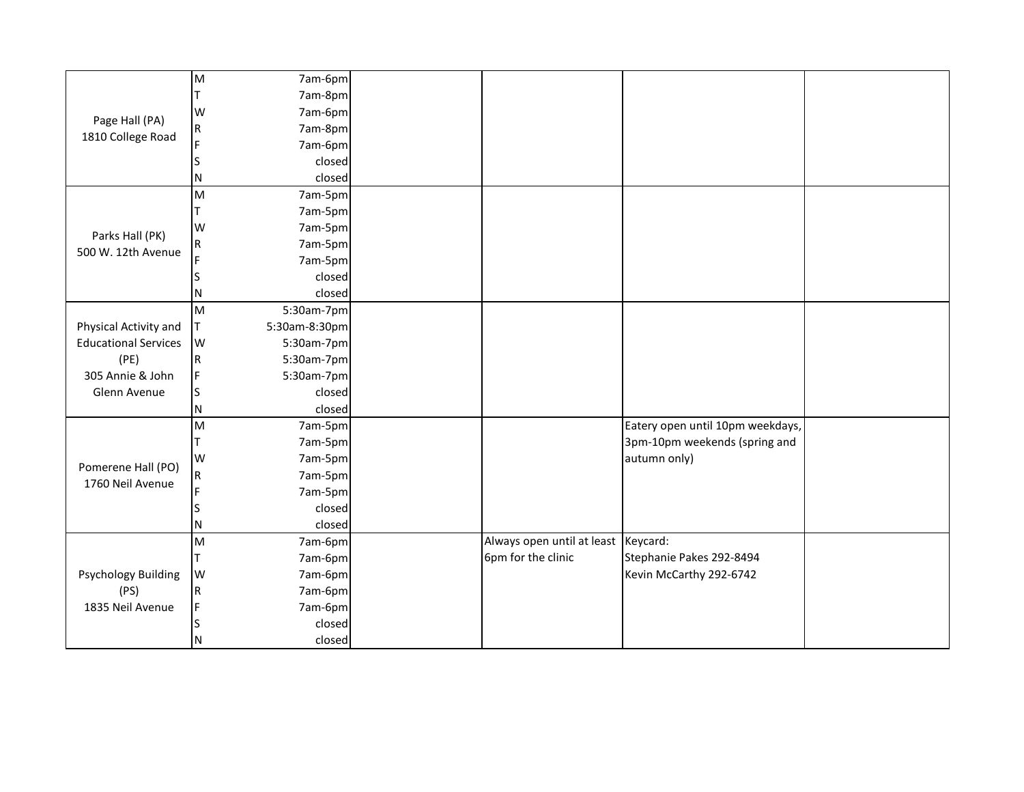|                             | $\mathsf{M}% _{T}=\mathsf{M}_{T}\!\left( a,b\right) ,\ \mathsf{M}_{T}=\mathsf{M}_{T}$ | 7am-6pm       |                                     |                                  |  |
|-----------------------------|---------------------------------------------------------------------------------------|---------------|-------------------------------------|----------------------------------|--|
|                             |                                                                                       | 7am-8pm       |                                     |                                  |  |
| Page Hall (PA)              | W                                                                                     | 7am-6pm       |                                     |                                  |  |
| 1810 College Road           | R                                                                                     | 7am-8pm       |                                     |                                  |  |
|                             |                                                                                       | 7am-6pm       |                                     |                                  |  |
|                             |                                                                                       | closed        |                                     |                                  |  |
|                             | N                                                                                     | closed        |                                     |                                  |  |
|                             | $\mathsf{M}% _{T}=\mathsf{M}_{T}\!\left( a,b\right) ,\ \mathsf{M}_{T}=\mathsf{M}_{T}$ | 7am-5pm       |                                     |                                  |  |
|                             |                                                                                       | 7am-5pm       |                                     |                                  |  |
| Parks Hall (PK)             | W                                                                                     | 7am-5pm       |                                     |                                  |  |
| 500 W. 12th Avenue          | R                                                                                     | 7am-5pm       |                                     |                                  |  |
|                             |                                                                                       | 7am-5pm       |                                     |                                  |  |
|                             |                                                                                       | closed        |                                     |                                  |  |
|                             | N                                                                                     | closed        |                                     |                                  |  |
|                             | $\mathsf{M}% _{T}=\mathsf{M}_{T}\!\left( a,b\right) ,\ \mathsf{M}_{T}=\mathsf{M}_{T}$ | 5:30am-7pm    |                                     |                                  |  |
| Physical Activity and       | Τ                                                                                     | 5:30am-8:30pm |                                     |                                  |  |
| <b>Educational Services</b> | W                                                                                     | 5:30am-7pm    |                                     |                                  |  |
| (PE)                        | R                                                                                     | 5:30am-7pm    |                                     |                                  |  |
| 305 Annie & John            | F                                                                                     | 5:30am-7pm    |                                     |                                  |  |
| Glenn Avenue                | S                                                                                     | closed        |                                     |                                  |  |
|                             | Ν                                                                                     | closed        |                                     |                                  |  |
|                             | M                                                                                     | 7am-5pm       |                                     | Eatery open until 10pm weekdays, |  |
|                             |                                                                                       | 7am-5pm       |                                     | 3pm-10pm weekends (spring and    |  |
| Pomerene Hall (PO)          | W                                                                                     | 7am-5pm       |                                     | autumn only)                     |  |
| 1760 Neil Avenue            | R                                                                                     | 7am-5pm       |                                     |                                  |  |
|                             |                                                                                       | 7am-5pm       |                                     |                                  |  |
|                             |                                                                                       | closed        |                                     |                                  |  |
|                             | N                                                                                     | closed        |                                     |                                  |  |
|                             | M                                                                                     | 7am-6pm       | Always open until at least Keycard: |                                  |  |
|                             | Τ                                                                                     | 7am-6pm       | 6pm for the clinic                  | Stephanie Pakes 292-8494         |  |
| <b>Psychology Building</b>  | W                                                                                     | 7am-6pm       |                                     | Kevin McCarthy 292-6742          |  |
| (PS)                        | R                                                                                     | 7am-6pm       |                                     |                                  |  |
| 1835 Neil Avenue            | F                                                                                     | 7am-6pm       |                                     |                                  |  |
|                             |                                                                                       | closed        |                                     |                                  |  |
|                             | N                                                                                     | closed        |                                     |                                  |  |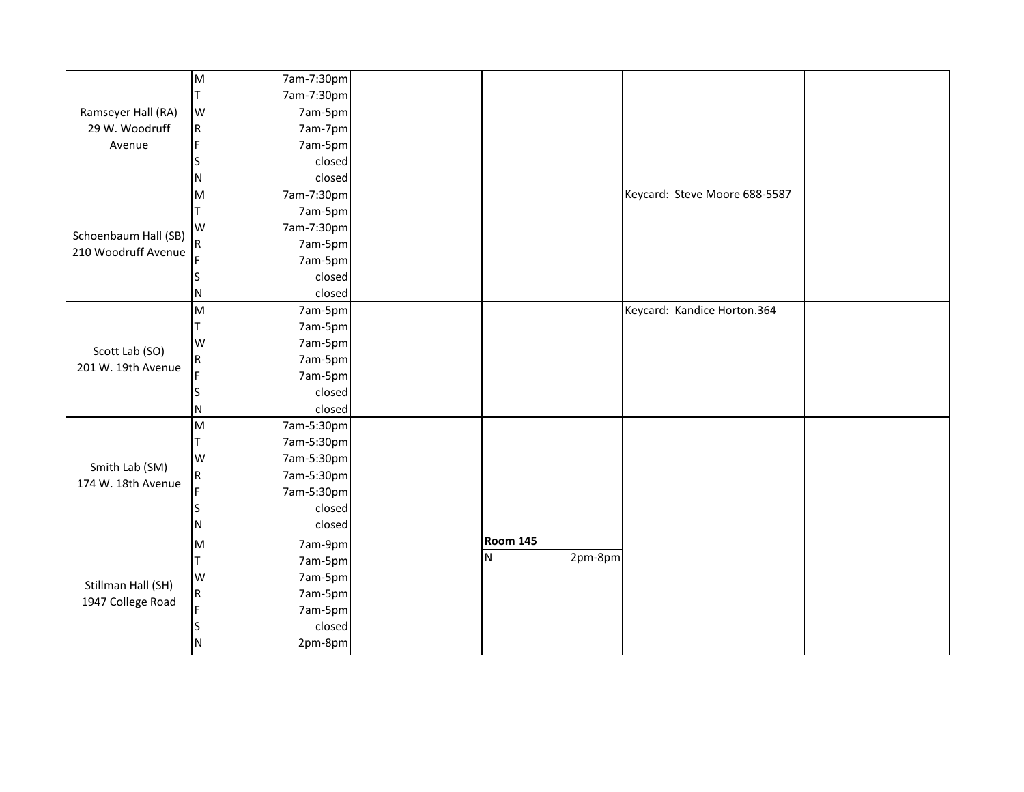|                      | M                       | 7am-7:30pm |                 |         |                               |  |
|----------------------|-------------------------|------------|-----------------|---------|-------------------------------|--|
|                      | т                       | 7am-7:30pm |                 |         |                               |  |
| Ramseyer Hall (RA)   | W                       | 7am-5pm    |                 |         |                               |  |
| 29 W. Woodruff       | $\mathsf R$             | 7am-7pm    |                 |         |                               |  |
| Avenue               | F                       | 7am-5pm    |                 |         |                               |  |
|                      | S                       | closed     |                 |         |                               |  |
|                      | N                       | closed     |                 |         |                               |  |
|                      | M                       | 7am-7:30pm |                 |         | Keycard: Steve Moore 688-5587 |  |
|                      |                         | 7am-5pm    |                 |         |                               |  |
| Schoenbaum Hall (SB) | W                       | 7am-7:30pm |                 |         |                               |  |
| 210 Woodruff Avenue  | $\overline{\mathsf{R}}$ | 7am-5pm    |                 |         |                               |  |
|                      |                         | 7am-5pm    |                 |         |                               |  |
|                      |                         | closed     |                 |         |                               |  |
|                      | N                       | closed     |                 |         |                               |  |
|                      | M                       | 7am-5pm    |                 |         | Keycard: Kandice Horton.364   |  |
|                      | т                       | 7am-5pm    |                 |         |                               |  |
|                      | W                       | 7am-5pm    |                 |         |                               |  |
| Scott Lab (SO)       | $\overline{\mathsf{R}}$ | 7am-5pm    |                 |         |                               |  |
| 201 W. 19th Avenue   | F                       | 7am-5pm    |                 |         |                               |  |
|                      | S                       | closed     |                 |         |                               |  |
|                      | N                       | closed     |                 |         |                               |  |
|                      | M                       | 7am-5:30pm |                 |         |                               |  |
|                      |                         | 7am-5:30pm |                 |         |                               |  |
|                      | W                       | 7am-5:30pm |                 |         |                               |  |
| Smith Lab (SM)       | $\overline{\mathsf{R}}$ | 7am-5:30pm |                 |         |                               |  |
| 174 W. 18th Avenue   |                         | 7am-5:30pm |                 |         |                               |  |
|                      |                         | closed     |                 |         |                               |  |
|                      | N                       | closed     |                 |         |                               |  |
|                      | M                       | 7am-9pm    | <b>Room 145</b> |         |                               |  |
| Stillman Hall (SH)   |                         | 7am-5pm    | N               | 2pm-8pm |                               |  |
|                      | W                       | 7am-5pm    |                 |         |                               |  |
|                      | $\overline{\mathsf{R}}$ | 7am-5pm    |                 |         |                               |  |
| 1947 College Road    | Ē                       | 7am-5pm    |                 |         |                               |  |
|                      |                         | closed     |                 |         |                               |  |
|                      | N                       | 2pm-8pm    |                 |         |                               |  |
|                      |                         |            |                 |         |                               |  |